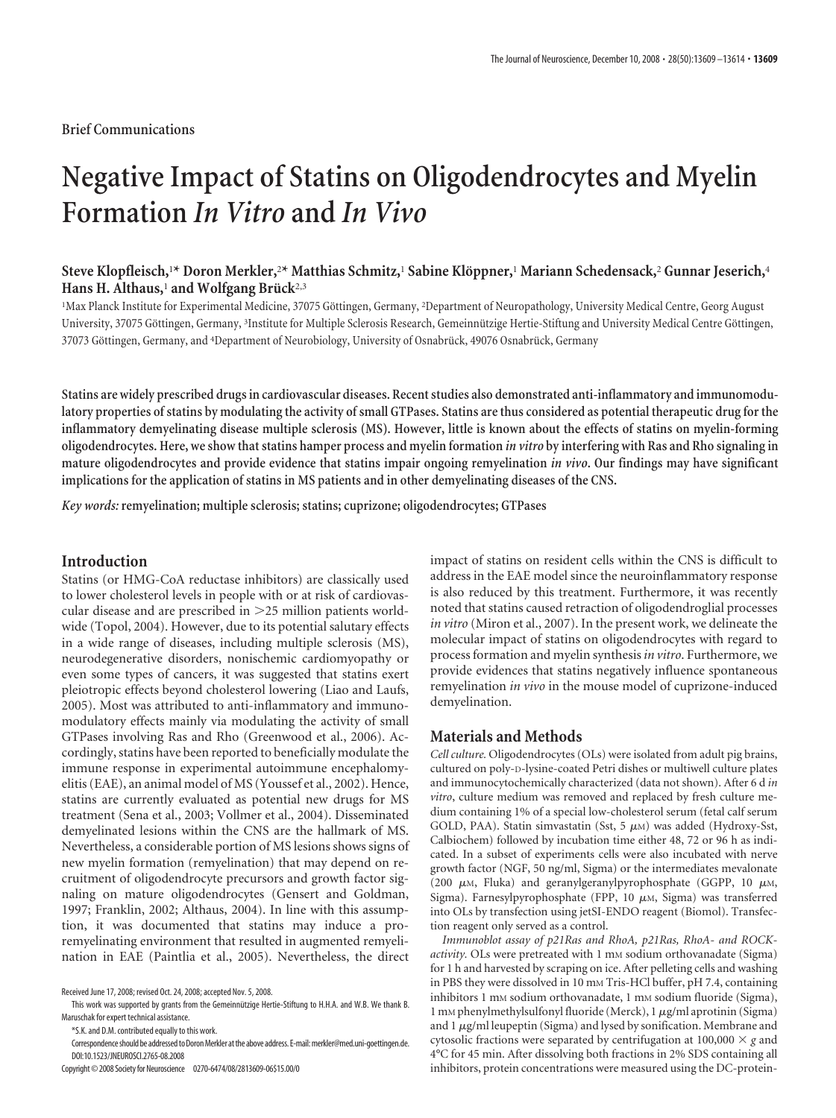## **Brief Communications**

# **Negative Impact of Statins on Oligodendrocytes and Myelin Formation** *In Vitro* **and** *In Vivo*

# **Steve Klopfleisch,**<sup>1</sup> **\* Doron Merkler,**<sup>2</sup> **\* Matthias Schmitz,**<sup>1</sup> **Sabine Klo¨ppner,**<sup>1</sup> **Mariann Schedensack,**<sup>2</sup> **Gunnar Jeserich,**<sup>4</sup> Hans H. Althaus,<sup>1</sup> and Wolfgang Brück<sup>2,3</sup>

<sup>1</sup>Max Planck Institute for Experimental Medicine, 37075 Göttingen, Germany, <sup>2</sup>Department of Neuropathology, University Medical Centre, Georg August University, 37075 Göttingen, Germany, <sup>3</sup>Institute for Multiple Sclerosis Research, Gemeinnützige Hertie-Stiftung and University Medical Centre Göttingen, 37073 Göttingen, Germany, and <sup>4</sup>Department of Neurobiology, University of Osnabrück, 49076 Osnabrück, Germany

**Statins are widely prescribed drugs in cardiovascular diseases. Recent studies also demonstrated anti-inflammatory and immunomodulatory properties of statins by modulating the activity of small GTPases. Statins are thus considered as potential therapeutic drug for the inflammatory demyelinating disease multiple sclerosis (MS). However, little is known about the effects of statins on myelin-forming oligodendrocytes. Here, we show that statins hamper process and myelin formation** *in vitro* **by interfering with Ras and Rho signaling in mature oligodendrocytes and provide evidence that statins impair ongoing remyelination** *in vivo***. Our findings may have significant implications for the application of statins in MS patients and in other demyelinating diseases of the CNS.**

*Key words:* **remyelination; multiple sclerosis; statins; cuprizone; oligodendrocytes; GTPases**

# **Introduction**

Statins (or HMG-CoA reductase inhibitors) are classically used to lower cholesterol levels in people with or at risk of cardiovascular disease and are prescribed in 25 million patients worldwide (Topol, 2004). However, due to its potential salutary effects in a wide range of diseases, including multiple sclerosis (MS), neurodegenerative disorders, nonischemic cardiomyopathy or even some types of cancers, it was suggested that statins exert pleiotropic effects beyond cholesterol lowering (Liao and Laufs, 2005). Most was attributed to anti-inflammatory and immunomodulatory effects mainly via modulating the activity of small GTPases involving Ras and Rho (Greenwood et al., 2006). Accordingly, statins have been reported to beneficially modulate the immune response in experimental autoimmune encephalomyelitis (EAE), an animal model of MS (Youssef et al., 2002). Hence, statins are currently evaluated as potential new drugs for MS treatment (Sena et al., 2003; Vollmer et al., 2004). Disseminated demyelinated lesions within the CNS are the hallmark of MS. Nevertheless, a considerable portion of MS lesions shows signs of new myelin formation (remyelination) that may depend on recruitment of oligodendrocyte precursors and growth factor signaling on mature oligodendrocytes (Gensert and Goldman, 1997; Franklin, 2002; Althaus, 2004). In line with this assumption, it was documented that statins may induce a proremyelinating environment that resulted in augmented remyelination in EAE (Paintlia et al., 2005). Nevertheless, the direct

This work was supported by grants from the Gemeinnützige Hertie-Stiftung to H.H.A. and W.B. We thank B. Maruschak for expert technical assistance.

\*S.K. and D.M. contributed equally to this work.

Correspondence should be addressed to Doron Merkler at the above address. E-mail: merkler@med.uni-goettingen.de. DOI:10.1523/JNEUROSCI.2765-08.2008

Copyright© 2008 Society for Neuroscience 0270-6474/08/2813609-06\$15.00/0

impact of statins on resident cells within the CNS is difficult to address in the EAE model since the neuroinflammatory response is also reduced by this treatment. Furthermore, it was recently noted that statins caused retraction of oligodendroglial processes *in vitro* (Miron et al., 2007). In the present work, we delineate the molecular impact of statins on oligodendrocytes with regard to process formation and myelin synthesis*in vitro*. Furthermore, we provide evidences that statins negatively influence spontaneous remyelination *in vivo* in the mouse model of cuprizone-induced demyelination.

#### **Materials and Methods**

*Cell culture.* Oligodendrocytes (OLs) were isolated from adult pig brains, cultured on poly-D-lysine-coated Petri dishes or multiwell culture plates and immunocytochemically characterized (data not shown). After 6 d *in vitro*, culture medium was removed and replaced by fresh culture medium containing 1% of a special low-cholesterol serum (fetal calf serum GOLD, PAA). Statin simvastatin (Sst, 5  $\mu$ M) was added (Hydroxy-Sst, Calbiochem) followed by incubation time either 48, 72 or 96 h as indicated. In a subset of experiments cells were also incubated with nerve growth factor (NGF, 50 ng/ml, Sigma) or the intermediates mevalonate (200  $\mu$ M, Fluka) and geranylgeranylpyrophosphate (GGPP, 10  $\mu$ M, Sigma). Farnesylpyrophosphate (FPP, 10  $\mu$ M, Sigma) was transferred into OLs by transfection using jetSI-ENDO reagent (Biomol). Transfection reagent only served as a control.

*Immunoblot assay of p21Ras and RhoA, p21Ras, RhoA- and ROCKactivity*. OLs were pretreated with 1 mm sodium orthovanadate (Sigma) for 1 h and harvested by scraping on ice. After pelleting cells and washing in PBS they were dissolved in 10 mM Tris-HCl buffer, pH 7.4, containing inhibitors 1 mM sodium orthovanadate, 1 mM sodium fluoride (Sigma), 1 mM phenylmethylsulfonyl fluoride (Merck), 1  $\mu$ g/ml aprotinin (Sigma) and  $1 \mu$ g/ml leupeptin (Sigma) and lysed by sonification. Membrane and cytosolic fractions were separated by centrifugation at 100,000  $\times$  g and 4°C for 45 min. After dissolving both fractions in 2% SDS containing all inhibitors, protein concentrations were measured using the DC-protein-

Received June 17, 2008; revised Oct. 24, 2008; accepted Nov. 5, 2008.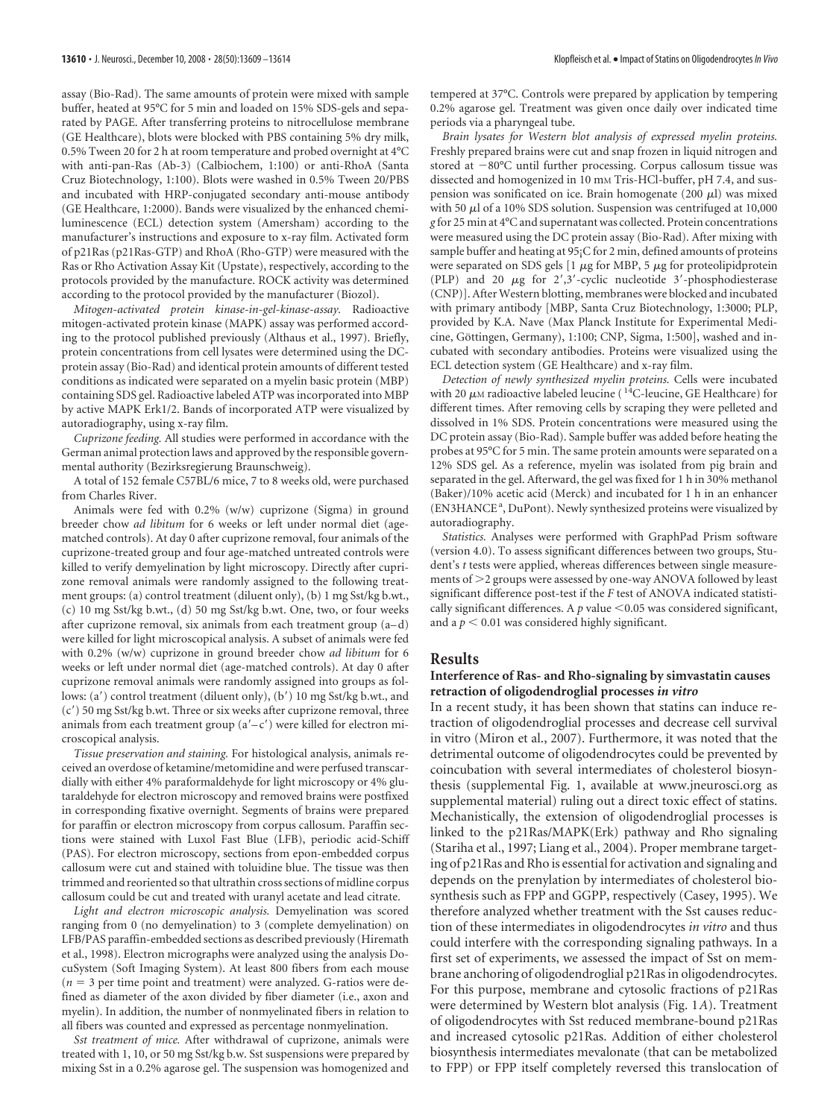assay (Bio-Rad). The same amounts of protein were mixed with sample buffer, heated at 95°C for 5 min and loaded on 15% SDS-gels and separated by PAGE. After transferring proteins to nitrocellulose membrane (GE Healthcare), blots were blocked with PBS containing 5% dry milk, 0.5% Tween 20 for 2 h at room temperature and probed overnight at 4°C with anti-pan-Ras (Ab-3) (Calbiochem, 1:100) or anti-RhoA (Santa Cruz Biotechnology, 1:100). Blots were washed in 0.5% Tween 20/PBS and incubated with HRP-conjugated secondary anti-mouse antibody (GE Healthcare, 1:2000). Bands were visualized by the enhanced chemiluminescence (ECL) detection system (Amersham) according to the manufacturer's instructions and exposure to x-ray film. Activated form of p21Ras (p21Ras-GTP) and RhoA (Rho-GTP) were measured with the Ras or Rho Activation Assay Kit (Upstate), respectively, according to the protocols provided by the manufacture. ROCK activity was determined according to the protocol provided by the manufacturer (Biozol).

*Mitogen-activated protein kinase-in-gel-kinase-assay.* Radioactive mitogen-activated protein kinase (MAPK) assay was performed according to the protocol published previously (Althaus et al., 1997). Briefly, protein concentrations from cell lysates were determined using the DCprotein assay (Bio-Rad) and identical protein amounts of different tested conditions as indicated were separated on a myelin basic protein (MBP) containing SDS gel. Radioactive labeled ATP was incorporated into MBP by active MAPK Erk1/2. Bands of incorporated ATP were visualized by autoradiography, using x-ray film.

*Cuprizone feeding.* All studies were performed in accordance with the German animal protection laws and approved by the responsible governmental authority (Bezirksregierung Braunschweig).

A total of 152 female C57BL/6 mice, 7 to 8 weeks old, were purchased from Charles River.

Animals were fed with 0.2% (w/w) cuprizone (Sigma) in ground breeder chow *ad libitum* for 6 weeks or left under normal diet (agematched controls). At day 0 after cuprizone removal, four animals of the cuprizone-treated group and four age-matched untreated controls were killed to verify demyelination by light microscopy. Directly after cuprizone removal animals were randomly assigned to the following treatment groups: (a) control treatment (diluent only), (b) 1 mg Sst/kg b.wt., (c) 10 mg Sst/kg b.wt., (d) 50 mg Sst/kg b.wt. One, two, or four weeks after cuprizone removal, six animals from each treatment group  $(a-d)$ were killed for light microscopical analysis. A subset of animals were fed with 0.2% (w/w) cuprizone in ground breeder chow *ad libitum* for 6 weeks or left under normal diet (age-matched controls). At day 0 after cuprizone removal animals were randomly assigned into groups as follows: (a') control treatment (diluent only), (b') 10 mg Sst/kg b.wt., and (c) 50 mg Sst/kg b.wt. Three or six weeks after cuprizone removal, three animals from each treatment group  $(a'-c')$  were killed for electron microscopical analysis.

*Tissue preservation and staining.* For histological analysis, animals received an overdose of ketamine/metomidine and were perfused transcardially with either 4% paraformaldehyde for light microscopy or 4% glutaraldehyde for electron microscopy and removed brains were postfixed in corresponding fixative overnight. Segments of brains were prepared for paraffin or electron microscopy from corpus callosum. Paraffin sections were stained with Luxol Fast Blue (LFB), periodic acid-Schiff (PAS). For electron microscopy, sections from epon-embedded corpus callosum were cut and stained with toluidine blue. The tissue was then trimmed and reoriented so that ultrathin cross sections of midline corpus callosum could be cut and treated with uranyl acetate and lead citrate.

*Light and electron microscopic analysis.* Demyelination was scored ranging from 0 (no demyelination) to 3 (complete demyelination) on LFB/PAS paraffin-embedded sections as described previously (Hiremath et al., 1998). Electron micrographs were analyzed using the analysis DocuSystem (Soft Imaging System). At least 800 fibers from each mouse  $(n = 3$  per time point and treatment) were analyzed. G-ratios were defined as diameter of the axon divided by fiber diameter (i.e., axon and myelin). In addition, the number of nonmyelinated fibers in relation to all fibers was counted and expressed as percentage nonmyelination.

*Sst treatment of mice.* After withdrawal of cuprizone, animals were treated with 1, 10, or 50 mg Sst/kg b.w. Sst suspensions were prepared by mixing Sst in a 0.2% agarose gel. The suspension was homogenized and

tempered at 37°C. Controls were prepared by application by tempering 0.2% agarose gel. Treatment was given once daily over indicated time periods via a pharyngeal tube.

*Brain lysates for Western blot analysis of expressed myelin proteins.* Freshly prepared brains were cut and snap frozen in liquid nitrogen and stored at  $-80^{\circ}$ C until further processing. Corpus callosum tissue was dissected and homogenized in 10 mm Tris-HCl-buffer, pH 7.4, and suspension was sonificated on ice. Brain homogenate (200  $\mu$ l) was mixed with 50  $\mu$ l of a 10% SDS solution. Suspension was centrifuged at 10,000 *g* for 25 min at 4°C and supernatant was collected. Protein concentrations were measured using the DC protein assay (Bio-Rad). After mixing with sample buffer and heating at 95¡C for 2 min, defined amounts of proteins were separated on SDS gels  $[1 \mu g$  for MBP, 5  $\mu g$  for proteolipidprotein (PLP) and 20  $\mu$ g for 2',3'-cyclic nucleotide 3'-phosphodiesterase (CNP)]. After Western blotting, membranes were blocked and incubated with primary antibody [MBP, Santa Cruz Biotechnology, 1:3000; PLP, provided by K.A. Nave (Max Planck Institute for Experimental Medicine, Göttingen, Germany), 1:100; CNP, Sigma, 1:500], washed and incubated with secondary antibodies. Proteins were visualized using the ECL detection system (GE Healthcare) and x-ray film.

*Detection of newly synthesized myelin proteins.* Cells were incubated with 20  $\mu$ M radioactive labeled leucine ( $^{14}$ C-leucine, GE Healthcare) for different times. After removing cells by scraping they were pelleted and dissolved in 1% SDS. Protein concentrations were measured using the DC protein assay (Bio-Rad). Sample buffer was added before heating the probes at 95°C for 5 min. The same protein amounts were separated on a 12% SDS gel. As a reference, myelin was isolated from pig brain and separated in the gel. Afterward, the gel was fixed for 1 h in 30% methanol (Baker)/10% acetic acid (Merck) and incubated for 1 h in an enhancer (EN3HANCE<sup>a</sup>, DuPont). Newly synthesized proteins were visualized by autoradiography.

*Statistics.* Analyses were performed with GraphPad Prism software (version 4.0). To assess significant differences between two groups, Student's *t* tests were applied, whereas differences between single measurements of 2 groups were assessed by one-way ANOVA followed by least significant difference post-test if the *F* test of ANOVA indicated statistically significant differences. A  $p$  value  $\leq$  0.05 was considered significant, and a  $p < 0.01$  was considered highly significant.

## **Results**

#### **Interference of Ras- and Rho-signaling by simvastatin causes retraction of oligodendroglial processes** *in vitro*

In a recent study, it has been shown that statins can induce retraction of oligodendroglial processes and decrease cell survival in vitro (Miron et al., 2007). Furthermore, it was noted that the detrimental outcome of oligodendrocytes could be prevented by coincubation with several intermediates of cholesterol biosynthesis (supplemental Fig. 1, available at www.jneurosci.org as supplemental material) ruling out a direct toxic effect of statins. Mechanistically, the extension of oligodendroglial processes is linked to the p21Ras/MAPK(Erk) pathway and Rho signaling (Stariha et al., 1997; Liang et al., 2004). Proper membrane targeting of p21Ras and Rho is essential for activation and signaling and depends on the prenylation by intermediates of cholesterol biosynthesis such as FPP and GGPP, respectively (Casey, 1995). We therefore analyzed whether treatment with the Sst causes reduction of these intermediates in oligodendrocytes *in vitro* and thus could interfere with the corresponding signaling pathways. In a first set of experiments, we assessed the impact of Sst on membrane anchoring of oligodendroglial p21Ras in oligodendrocytes. For this purpose, membrane and cytosolic fractions of p21Ras were determined by Western blot analysis (Fig. 1*A*). Treatment of oligodendrocytes with Sst reduced membrane-bound p21Ras and increased cytosolic p21Ras. Addition of either cholesterol biosynthesis intermediates mevalonate (that can be metabolized to FPP) or FPP itself completely reversed this translocation of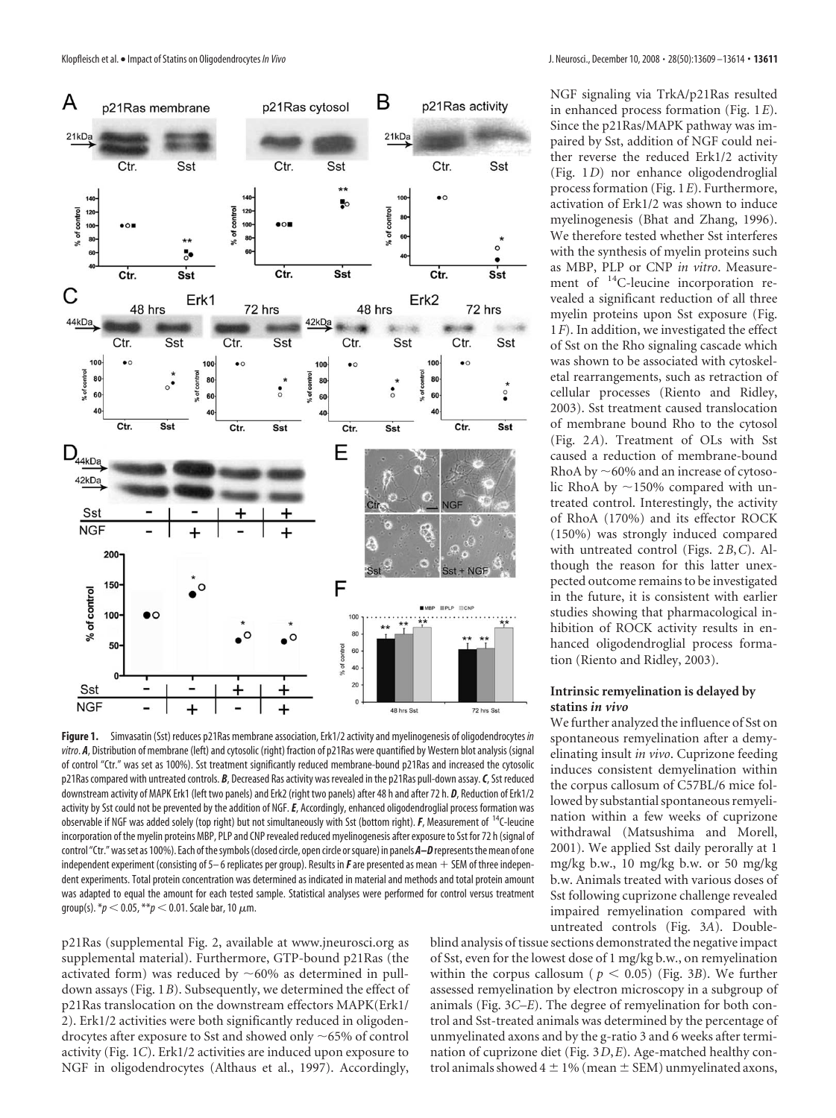

**Figure 1.** Simvasatin (Sst) reduces p21Ras membrane association, Erk1/2 activity and myelinogenesis of oligodendrocytes *in vitro*. *A*, Distribution of membrane (left) and cytosolic (right) fraction of p21Ras were quantified by Western blot analysis (signal of control "Ctr." was set as 100%). Sst treatment significantly reduced membrane-bound p21Ras and increased the cytosolic p21Ras compared with untreated controls. *B*, Decreased Ras activity was revealed in the p21Ras pull-down assay.*C*, Sst reduced downstream activity of MAPK Erk1 (left two panels) and Erk2 (right two panels) after 48 h and after 72 h. *D*, Reduction of Erk1/2 activity by Sst could not be prevented by the addition of NGF.*E*, Accordingly, enhanced oligodendroglial process formation was observable if NGF was added solely (top right) but not simultaneously with Sst (bottom right).*F*, Measurement of 14C-leucine incorporation of the myelin proteins MBP, PLP and CNP revealed reduced myelinogenesis after exposure to Sst for 72 h (signal of control "Ctr." was set as 100%). Each of the symbols (closed circle, open circle or square) in panels **A-D** represents the mean of one independent experiment (consisting of 5–6 replicates per group). Results in  $F$  are presented as mean  $+$  SEM of three independent experiments. Total protein concentration was determined as indicated in material and methods and total protein amount was adapted to equal the amount for each tested sample. Statistical analyses were performed for control versus treatment group(s).  $* p < 0.05$ ,  $* p < 0.01$ . Scale bar, 10  $\mu$ m.

p21Ras (supplemental Fig. 2, available at www.jneurosci.org as supplemental material). Furthermore, GTP-bound p21Ras (the activated form) was reduced by  $\sim$  60% as determined in pulldown assays (Fig. 1*B*). Subsequently, we determined the effect of p21Ras translocation on the downstream effectors MAPK(Erk1/ 2). Erk1/2 activities were both significantly reduced in oligodendrocytes after exposure to Sst and showed only  $\sim$  65% of control activity (Fig. 1*C*). Erk1/2 activities are induced upon exposure to NGF in oligodendrocytes (Althaus et al., 1997). Accordingly,

NGF signaling via TrkA/p21Ras resulted in enhanced process formation (Fig. 1*E*). Since the p21Ras/MAPK pathway was impaired by Sst, addition of NGF could neither reverse the reduced Erk1/2 activity (Fig. 1*D*) nor enhance oligodendroglial process formation (Fig. 1*E*). Furthermore, activation of Erk1/2 was shown to induce myelinogenesis (Bhat and Zhang, 1996). We therefore tested whether Sst interferes with the synthesis of myelin proteins such as MBP, PLP or CNP *in vitro*. Measurement of 14C-leucine incorporation revealed a significant reduction of all three myelin proteins upon Sst exposure (Fig. 1*F*). In addition, we investigated the effect of Sst on the Rho signaling cascade which was shown to be associated with cytoskeletal rearrangements, such as retraction of cellular processes (Riento and Ridley, 2003). Sst treatment caused translocation of membrane bound Rho to the cytosol (Fig. 2*A*). Treatment of OLs with Sst caused a reduction of membrane-bound RhoA by  $\sim$  60% and an increase of cytosolic RhoA by  $\sim$ 150% compared with untreated control. Interestingly, the activity of RhoA (170%) and its effector ROCK (150%) was strongly induced compared with untreated control (Figs. 2*B*,*C*). Although the reason for this latter unexpected outcome remains to be investigated in the future, it is consistent with earlier studies showing that pharmacological inhibition of ROCK activity results in enhanced oligodendroglial process formation (Riento and Ridley, 2003).

## **Intrinsic remyelination is delayed by statins** *in vivo*

We further analyzed the influence of Sst on spontaneous remyelination after a demyelinating insult *in vivo*. Cuprizone feeding induces consistent demyelination within the corpus callosum of C57BL/6 mice followed by substantial spontaneous remyelination within a few weeks of cuprizone withdrawal (Matsushima and Morell, 2001). We applied Sst daily perorally at 1 mg/kg b.w., 10 mg/kg b.w. or 50 mg/kg b.w. Animals treated with various doses of Sst following cuprizone challenge revealed impaired remyelination compared with untreated controls (Fig. 3*A*). Double-

blind analysis of tissue sections demonstrated the negative impact of Sst, even for the lowest dose of 1 mg/kg b.w., on remyelination within the corpus callosum ( $p < 0.05$ ) (Fig. 3*B*). We further assessed remyelination by electron microscopy in a subgroup of animals (Fig. 3*C–E*). The degree of remyelination for both control and Sst-treated animals was determined by the percentage of unmyelinated axons and by the g-ratio 3 and 6 weeks after termination of cuprizone diet (Fig. 3*D*,*E*). Age-matched healthy control animals showed  $4 \pm 1\%$  (mean  $\pm$  SEM) unmyelinated axons,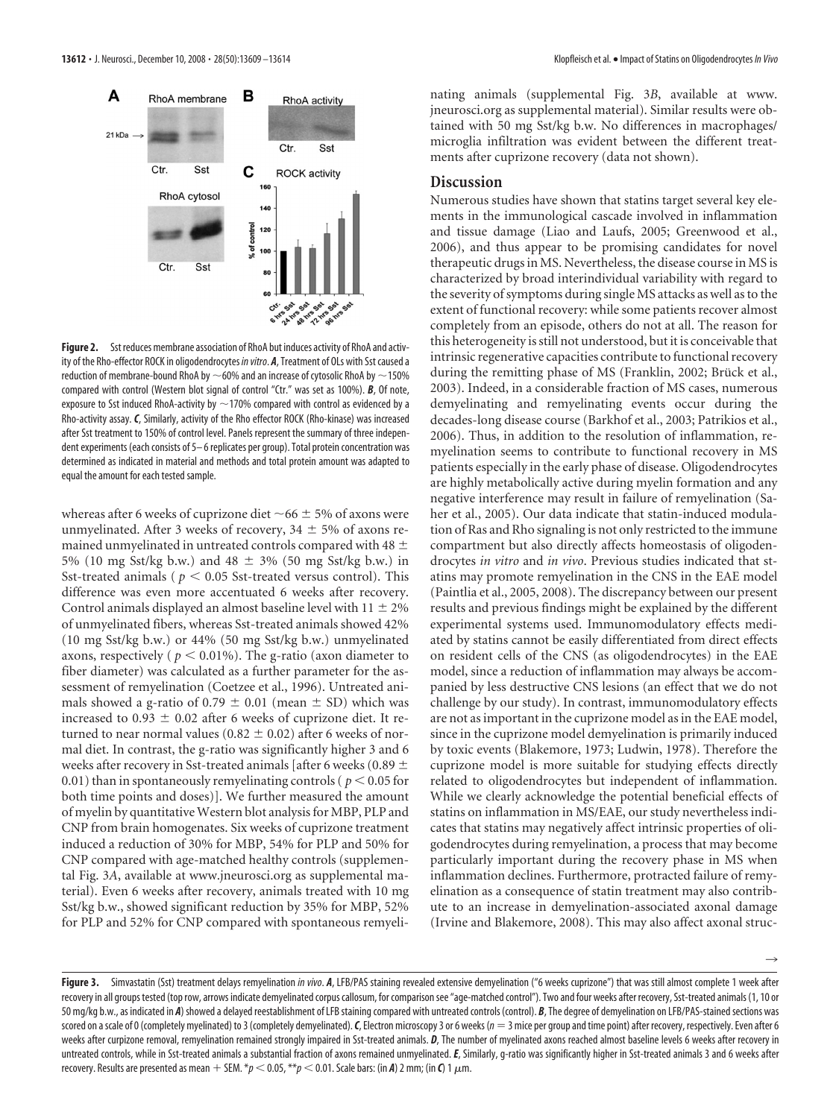

**Figure 2.** Sst reduces membrane association of RhoA but induces activity of RhoA and activity of the Rho-effector ROCK in oligodendrocytes *in vitro*. *A*, Treatment of OLs with Sst caused a reduction of membrane-bound RhoA by  $\sim$  60% and an increase of cytosolic RhoA by  $\sim$  150% compared with control (Western blot signal of control "Ctr." was set as 100%). *B*, Of note, exposure to Sst induced RhoA-activity by  $\sim$  170% compared with control as evidenced by a Rho-activity assay. *C*, Similarly, activity of the Rho effector ROCK (Rho-kinase) was increased after Sst treatment to 150% of control level. Panels represent the summary of three independent experiments (each consists of 5– 6 replicates per group). Total protein concentration was determined as indicated in material and methods and total protein amount was adapted to equal the amount for each tested sample.

whereas after 6 weeks of cuprizone diet  $\sim$  66  $\pm$  5% of axons were unmyelinated. After 3 weeks of recovery,  $34 \pm 5\%$  of axons remained unmyelinated in untreated controls compared with 48  $\pm$ 5% (10 mg Sst/kg b.w.) and 48  $\pm$  3% (50 mg Sst/kg b.w.) in Sst-treated animals ( $p < 0.05$  Sst-treated versus control). This difference was even more accentuated 6 weeks after recovery. Control animals displayed an almost baseline level with  $11 \pm 2\%$ of unmyelinated fibers, whereas Sst-treated animals showed 42% (10 mg Sst/kg b.w.) or 44% (50 mg Sst/kg b.w.) unmyelinated axons, respectively ( $p < 0.01\%$ ). The g-ratio (axon diameter to fiber diameter) was calculated as a further parameter for the assessment of remyelination (Coetzee et al., 1996). Untreated animals showed a g-ratio of 0.79  $\pm$  0.01 (mean  $\pm$  SD) which was increased to  $0.93 \pm 0.02$  after 6 weeks of cuprizone diet. It returned to near normal values (0.82  $\pm$  0.02) after 6 weeks of normal diet. In contrast, the g-ratio was significantly higher 3 and 6 weeks after recovery in Sst-treated animals [after 6 weeks (0.89  $\pm$ 0.01) than in spontaneously remyelinating controls ( $p < 0.05$  for both time points and doses)]. We further measured the amount of myelin by quantitative Western blot analysis for MBP, PLP and CNP from brain homogenates. Six weeks of cuprizone treatment induced a reduction of 30% for MBP, 54% for PLP and 50% for CNP compared with age-matched healthy controls (supplemental Fig. 3*A*, available at www.jneurosci.org as supplemental material). Even 6 weeks after recovery, animals treated with 10 mg Sst/kg b.w., showed significant reduction by 35% for MBP, 52% for PLP and 52% for CNP compared with spontaneous remyelinating animals (supplemental Fig. 3*B*, available at www. jneurosci.org as supplemental material). Similar results were obtained with 50 mg Sst/kg b.w. No differences in macrophages/ microglia infiltration was evident between the different treatments after cuprizone recovery (data not shown).

#### **Discussion**

Numerous studies have shown that statins target several key elements in the immunological cascade involved in inflammation and tissue damage (Liao and Laufs, 2005; Greenwood et al., 2006), and thus appear to be promising candidates for novel therapeutic drugs in MS. Nevertheless, the disease course in MS is characterized by broad interindividual variability with regard to the severity of symptoms during single MS attacks as well as to the extent of functional recovery: while some patients recover almost completely from an episode, others do not at all. The reason for this heterogeneity is still not understood, but it is conceivable that intrinsic regenerative capacities contribute to functional recovery during the remitting phase of MS (Franklin, 2002; Brück et al., 2003). Indeed, in a considerable fraction of MS cases, numerous demyelinating and remyelinating events occur during the decades-long disease course (Barkhof et al., 2003; Patrikios et al., 2006). Thus, in addition to the resolution of inflammation, remyelination seems to contribute to functional recovery in MS patients especially in the early phase of disease. Oligodendrocytes are highly metabolically active during myelin formation and any negative interference may result in failure of remyelination (Saher et al., 2005). Our data indicate that statin-induced modulation of Ras and Rho signaling is not only restricted to the immune compartment but also directly affects homeostasis of oligodendrocytes *in vitro* and *in vivo*. Previous studies indicated that statins may promote remyelination in the CNS in the EAE model (Paintlia et al., 2005, 2008). The discrepancy between our present results and previous findings might be explained by the different experimental systems used. Immunomodulatory effects mediated by statins cannot be easily differentiated from direct effects on resident cells of the CNS (as oligodendrocytes) in the EAE model, since a reduction of inflammation may always be accompanied by less destructive CNS lesions (an effect that we do not challenge by our study). In contrast, immunomodulatory effects are not as important in the cuprizone model as in the EAE model, since in the cuprizone model demyelination is primarily induced by toxic events (Blakemore, 1973; Ludwin, 1978). Therefore the cuprizone model is more suitable for studying effects directly related to oligodendrocytes but independent of inflammation. While we clearly acknowledge the potential beneficial effects of statins on inflammation in MS/EAE, our study nevertheless indicates that statins may negatively affect intrinsic properties of oligodendrocytes during remyelination, a process that may become particularly important during the recovery phase in MS when inflammation declines. Furthermore, protracted failure of remyelination as a consequence of statin treatment may also contribute to an increase in demyelination-associated axonal damage (Irvine and Blakemore, 2008). This may also affect axonal struc-

 $\rightarrow$ 

Figure 3. Simvastatin (Sst) treatment delays remyelination *in vivo. A*, LFB/PAS staining revealed extensive demyelination ("6 weeks cuprizone") that was still almost complete 1 week after recovery in all groups tested (top row, arrows indicate demyelinated corpus callosum, for comparison see "age-matched control"). Two and four weeks after recovery, Sst-treated animals (1, 10 or 50 mg/kg b.w., as indicated in *A*) showed a delayed reestablishment of LFB staining compared with untreated controls (control). *B*, The degree of demyelination on LFB/PAS-stained sections was scored on a scale of 0 (completely myelinated) to 3 (completely demyelinated). C, Electron microscopy 3 or 6 weeks ( $n = 3$  mice per group and time point) after recovery, respectively. Even after 6 weeks after curpizone removal, remyelination remained strongly impaired in Sst-treated animals. *D*, The number of myelinated axons reached almost baseline levels 6 weeks after recovery in untreated controls, while in Sst-treated animals a substantial fraction of axons remained unmyelinated. *E*, Similarly, g-ratio was significantly higher in Sst-treated animals 3 and 6 weeks after recovery. Results are presented as mean  $+$  SEM.  $*p < 0.05$ ,  $*p < 0.01$ . Scale bars: (in *A*) 2 mm; (in *C*) 1  $\mu$ m.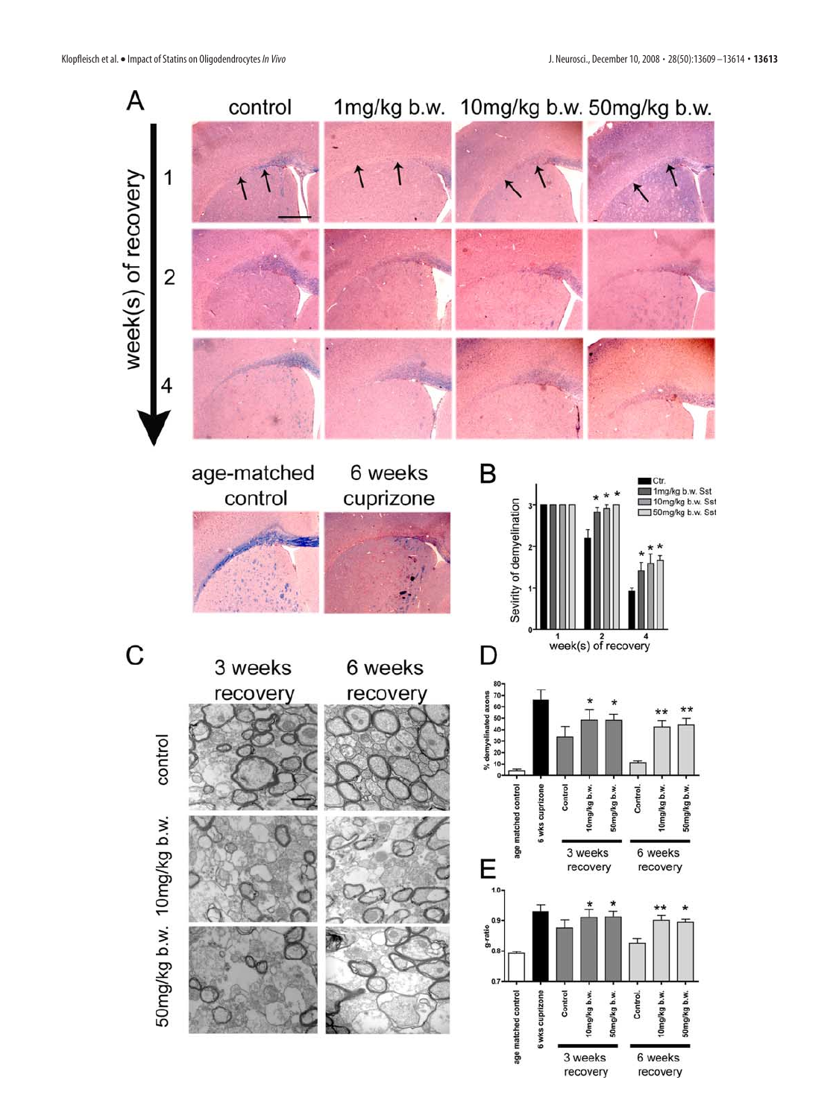